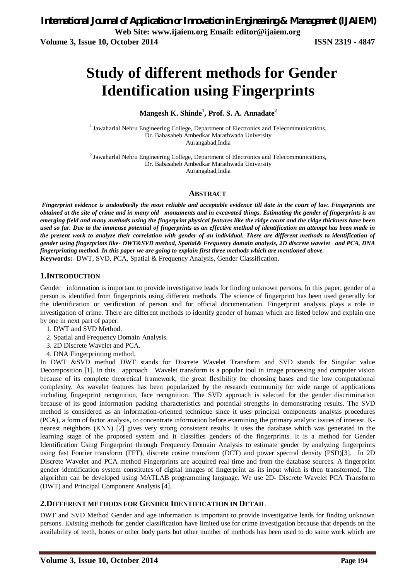# **Study of different methods for Gender Identification using Fingerprints**

# **Mangesh K. Shinde<sup>1</sup> , Prof. S. A. Annadate<sup>2</sup>**

<sup>1</sup> Jawaharlal Nehru Engineering College, Department of Electronics and Telecommunications, Dr. Babasaheb Ambedkar Marathwada University Aurangabad,India

 $2$  Jawaharlal Nehru Engineering College, Department of Electronics and Telecommunications, Dr. Babasaheb Ambedkar Marathwada University Aurangabad,India

### **ABSTRACT**

*Fingerprint evidence is undoubtedly the most reliable and acceptable evidence till date in the court of law. Fingerprints are obtained at the site of crime and in many old monuments and in excavated things. Estimating the gender of fingerprints is an emerging field and many methods using the fingerprint physical features like the ridge count and the ridge thickness have been used so far. Due to the immense potential of fingerprints as an effective method of identification an attempt has been made in the present work to analyze their correlation with gender of an individual. There are different methods to identification of gender using fingerprints like- DWT&SVD method, Spatial& Frequency domain analysis, 2D discrete wavelet and PCA, DNA fingerprinting method. In this paper we are going to explain first three methods which are mentioned above.* **Keywords:-** DWT, SVD, PCA, Spatial & Frequency Analysis, Gender Classification.

### **1.INTRODUCTION**

Gender information is important to provide investigative leads for finding unknown persons. In this paper, gender of a person is identified from fingerprints using different methods. The science of fingerprint has been used generally for the identification or verification of person and for official documentation. Fingerprint analysis plays a role in investigation of crime. There are different methods to identify gender of human which are listed below and explain one by one in next part of paper.

- 1. DWT and SVD Method.
- 2. Spatial and Frequency Domain Analysis.
- 3. 2D Discrete Wavelet and PCA.
- 4. DNA Fingerprinting method.

In DWT &SVD method DWT stands for Discrete Wavelet Transform and SVD stands for Singular value Decomposition [1]. In this approach Wavelet transform is a popular tool in image processing and computer vision because of its complete theoretical framework, the great flexibility for choosing bases and the low computational complexity. As wavelet features has been popularized by the research community for wide range of applications including fingerprint recognition, face recognition. The SVD approach is selected for the gender discrimination because of its good information packing characteristics and potential strengths in demonstrating results. The SVD method is considered as an information-oriented technique since it uses principal components analysis procedures (PCA), a form of factor analysis, to concentrate information before examining the primary analytic issues of interest. Knearest neighbors (KNN) [2] gives very strong consistent results. It uses the database which was generated in the learning stage of the proposed system and it classifies genders of the fingerprints. It is a method for Gender Identification Using Fingerprint through Frequency Domain Analysis to estimate gender by analyzing fingerprints using fast Fourier transform (FFT), discrete cosine transform (DCT) and power spectral density (PSD)[3]. In 2D Discrete Wavelet and PCA method Fingerprints are acquired real time and from the database sources. A fingerprint gender identification system constitutes of digital images of fingerprint as its input which is then transformed. The algorithm can be developed using MATLAB programming language. We use 2D- Discrete Wavelet PCA Transform (DWT) and Principal Component Analysis [4].

### **2.DIFFERENT METHODS FOR GENDER IDENTIFICATION IN DETAIL**

DWT and SVD Method Gender and age information is important to provide investigative leads for finding unknown persons. Existing methods for gender classification have limited use for crime investigation because that depends on the availability of teeth, bones or other body parts but other number of methods has been used to do same work which are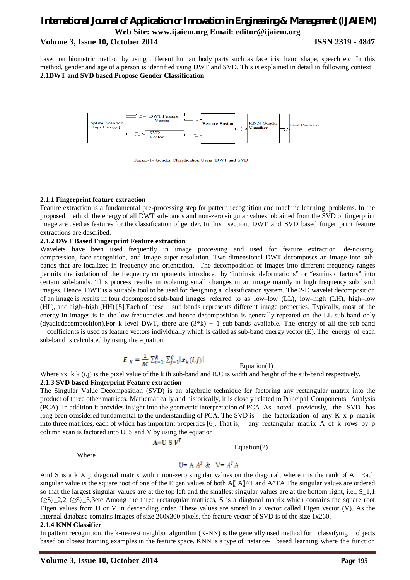based on biometric method by using different human body parts such as face iris, hand shape, speech etc. In this method, gender and age of a person is identified using DWT and SVD. This is explained in detail in following context. **2.1DWT and SVD based Propose Gender Classification**



Fig no-1- Gender Classification Using DWT and SVD

### **2.1.1 Fingerprint feature extraction**

Feature extraction is a fundamental pre-processing step for pattern recognition and machine learning problems. In the proposed method, the energy of all DWT sub-bands and non-zero singular values obtained from the SVD of fingerprint image are used as features for the classification of gender. In this section, DWT and SVD based finger print feature extractions are described.

### **2.1.2 DWT Based Fingerprint Feature extraction**

Wavelets have been used frequently in image processing and used for feature extraction, de-noising, compression, face recognition, and image super-resolution. Two dimensional DWT decomposes an image into subbands that are localized in frequency and orientation. The decomposition of images into different frequency ranges permits the isolation of the frequency components introduced by "intrinsic deformations" or "extrinsic factors" into certain sub-bands. This process results in isolating small changes in an image mainly in high frequency sub band images. Hence, DWT is a suitable tool to be used for designing a classification system. The 2-D wavelet decomposition of an image is results in four decomposed sub-band images referred to as low–low (LL), low–high (LH), high–low (HL), and high–high (HH) [5].Each of these sub bands represents different image properties. Typically, most of the energy in images is in the low frequencies and hence decomposition is generally repeated on the LL sub band only (dyadicdecomposition). For k level DWT, there are  $(3*k) + 1$  sub-bands available. The energy of all the sub-band

coefficients is used as feature vectors individually which is called as sub-band energy vector (E). The energy of each sub-band is calculated by using the equation

$$
E_K = \frac{1}{RC}\sum_{i=1}^R\sum_{j=1}^C\bigl|x_k(i,j)\bigr|
$$

Equation(1)

Where  $xx_k$  k  $(i,j)$  is the pixel value of the k th sub-band and R,C is width and height of the sub-band respectively.

### **2.1.3 SVD based Fingerprint Feature extraction**

The Singular Value Decomposition (SVD) is an algebraic technique for factoring any rectangular matrix into the product of three other matrices. Mathematically and historically, it is closely related to Principal Components Analysis (PCA). In addition it provides insight into the geometric interpretation of PCA. As noted previously, the SVD has long been considered fundamental to the understanding of PCA. The SVD is the factorization of any K x p matrix into three matrices, each of which has important properties [6]. That is, any rectangular matrix A of k rows by p column scan is factored into U, S and V by using the equation.

$$
A\!\!=\!\!U\,S\,V
$$

Equation(2)

Where

# $U = A A^T \& \nabla = A^T A$

And S is a k X p diagonal matrix with r non-zero singular values on the diagonal, where r is the rank of A. Each singular value is the square root of one of the Eigen values of both  $A[[A]\hat{\ }$  and  $A^{\wedge}TA$  The singular values are ordered so that the largest singular values are at the top left and the smallest singular values are at the bottom right, i.e., S\_1,1 〖≥S〗\_2,2 〖≥S〗\_3,3etc Among the three rectangular matrices, S is a diagonal matrix which contains the square root Eigen values from U or V in descending order. These values are stored in a vector called Eigen vector (V). As the internal database contains images of size 260x300 pixels, the feature vector of SVD is of the size 1x260.

### **2.1.4 KNN Classifier**

In pattern recognition, the k-nearest neighbor algorithm (K-NN) is the generally used method for classifying objects based on closest training examples in the feature space. KNN is a type of instance- based learning where the function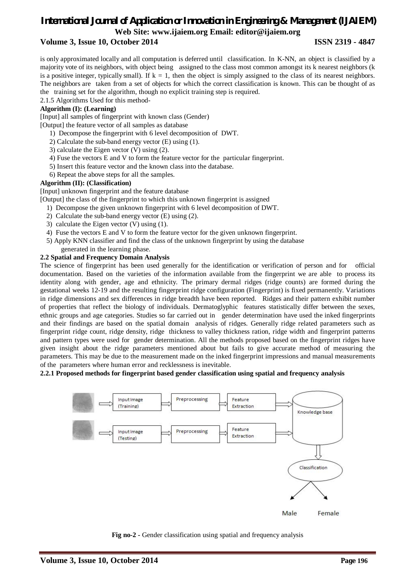is only approximated locally and all computation is deferred until classification. In K-NN, an object is classified by a majority vote of its neighbors, with object being assigned to the class most common amongst its k nearest neighbors (k is a positive integer, typically small). If  $k = 1$ , then the object is simply assigned to the class of its nearest neighbors. The neighbors are taken from a set of objects for which the correct classification is known. This can be thought of as the training set for the algorithm, though no explicit training step is required.

2.1.5 Algorithms Used for this method-

# **Algorithm (I): (Learning)**

[Input] all samples of fingerprint with known class (Gender)

- [Output] the feature vector of all samples as database
	- 1) Decompose the fingerprint with 6 level decomposition of DWT.
	- 2) Calculate the sub-band energy vector (E) using (1).
	- 3) calculate the Eigen vector (V) using (2).
	- 4) Fuse the vectors E and V to form the feature vector for the particular fingerprint.
	- 5) Insert this feature vector and the known class into the database.
	- 6) Repeat the above steps for all the samples.

### **Algorithm (II): (Classification)**

[Input] unknown fingerprint and the feature database

[Output] the class of the fingerprint to which this unknown fingerprint is assigned

- 1) Decompose the given unknown fingerprint with 6 level decomposition of DWT.
- 2) Calculate the sub-band energy vector (E) using (2).
- 3) calculate the Eigen vector (V) using (1).
- 4) Fuse the vectors E and V to form the feature vector for the given unknown fingerprint.
- 5) Apply KNN classifier and find the class of the unknown fingerprint by using the database generated in the learning phase.

### **2.2 Spatial and Frequency Domain Analysis**

The science of fingerprint has been used generally for the identification or verification of person and for official documentation. Based on the varieties of the information available from the fingerprint we are able to process its identity along with gender, age and ethnicity. The primary dermal ridges (ridge counts) are formed during the gestational weeks 12-19 and the resulting fingerprint ridge configuration (Fingerprint) is fixed permanently. Variations in ridge dimensions and sex differences in ridge breadth have been reported. Ridges and their pattern exhibit number of properties that reflect the biology of individuals. Dermatoglyphic features statistically differ between the sexes, ethnic groups and age categories. Studies so far carried out in gender determination have used the inked fingerprints and their findings are based on the spatial domain analysis of ridges. Generally ridge related parameters such as fingerprint ridge count, ridge density, ridge thickness to valley thickness ration, ridge width and fingerprint patterns and pattern types were used for gender determination. All the methods proposed based on the fingerprint ridges have given insight about the ridge parameters mentioned about but fails to give accurate method of measuring the parameters. This may be due to the measurement made on the inked fingerprint impressions and manual measurements of the parameters where human error and recklessness is inevitable.

### **2.2.1 Proposed methods for fingerprint based gender classification using spatial and frequency analysis**



**Fig no-2 -** Gender classification using spatial and frequency analysis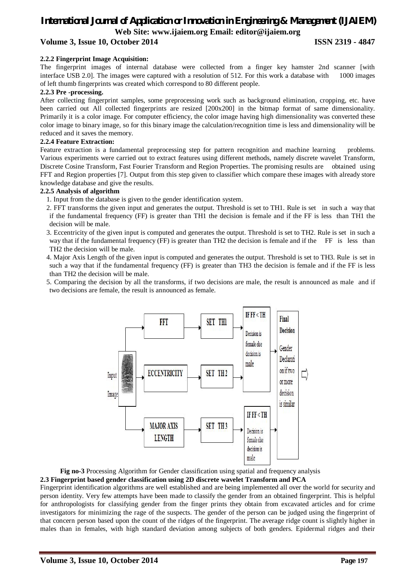### **2.2.2 Fingerprint Image Acquisition:**

The fingerprint images of internal database were collected from a finger key hamster 2nd scanner [with interface USB 2.0]. The images were captured with a resolution of 512. For this work a database with 1000 images of left thumb fingerprints was created which correspond to 80 different people.

### **2.2.3 Pre -processing.**

After collecting fingerprint samples, some preprocessing work such as background elimination, cropping, etc. have been carried out All collected fingerprints are resized [200x200] in the bitmap format of same dimensionality. Primarily it is a color image. For computer efficiency, the color image having high dimensionality was converted these color image to binary image, so for this binary image the calculation/recognition time is less and dimensionality will be reduced and it saves the memory.

### **2.2.4 Feature Extraction:**

Feature extraction is a fundamental preprocessing step for pattern recognition and machine learning problems. Various experiments were carried out to extract features using different methods, namely discrete wavelet Transform, Discrete Cosine Transform, Fast Fourier Transform and Region Properties. The promising results are obtained using FFT and Region properties [7]. Output from this step given to classifier which compare these images with already store knowledge database and give the results.

### **2.2.5 Analysis of algorithm**

- 1. Input from the database is given to the gender identification system.
- 2. FFT transforms the given input and generates the output. Threshold is set to TH1. Rule is set in such a way that if the fundamental frequency (FF) is greater than TH1 the decision is female and if the FF is less than TH1 the decision will be male.
- 3. Eccentricity of the given input is computed and generates the output. Threshold is set to TH2. Rule is set in such a way that if the fundamental frequency (FF) is greater than TH2 the decision is female and if the FF is less than TH2 the decision will be male.
- 4. Major Axis Length of the given input is computed and generates the output. Threshold is set to TH3. Rule is set in such a way that if the fundamental frequency (FF) is greater than TH3 the decision is female and if the FF is less than TH2 the decision will be male.
- 5. Comparing the decision by all the transforms, if two decisions are male, the result is announced as male and if two decisions are female, the result is announced as female.



 **Fig no-3** Processing Algorithm for Gender classification using spatial and frequency analysis **2.3 Fingerprint based gender classification using 2D discrete wavelet Transform and PCA**

Fingerprint identification algorithms are well established and are being implemented all over the world for security and person identity. Very few attempts have been made to classify the gender from an obtained fingerprint. This is helpful for anthropologists for classifying gender from the finger prints they obtain from excavated articles and for crime investigators for minimizing the rage of the suspects. The gender of the person can be judged using the fingerprint of that concern person based upon the count of the ridges of the fingerprint. The average ridge count is slightly higher in males than in females, with high standard deviation among subjects of both genders. Epidermal ridges and their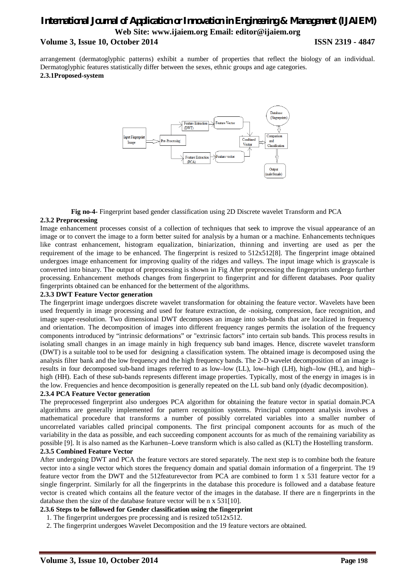arrangement (dermatoglyphic patterns) exhibit a number of properties that reflect the biology of an individual. Dermatoglyphic features statistically differ between the sexes, ethnic groups and age categories. **2.3.1Proposed-system** 



**Fig no-4-** Fingerprint based gender classification using 2D Discrete wavelet Transform and PCA

### **2.3.2 Preprocessing**

Image enhancement processes consist of a collection of techniques that seek to improve the visual appearance of an image or to convert the image to a form better suited for analysis by a human or a machine. Enhancements techniques like contrast enhancement, histogram equalization, biniarization, thinning and inverting are used as per the requirement of the image to be enhanced. The fingerprint is resized to  $512x512[8]$ . The fingerprint image obtained undergoes image enhancement for improving quality of the ridges and valleys. The input image which is grayscale is converted into binary. The output of preprocessing is shown in Fig After preprocessing the fingerprints undergo further processing. Enhancement methods changes from fingerprint to fingerprint and for different databases. Poor quality fingerprints obtained can be enhanced for the betterment of the algorithms.

### **2.3.3 DWT Feature Vector generation**

The fingerprint image undergoes discrete wavelet transformation for obtaining the feature vector. Wavelets have been used frequently in image processing and used for feature extraction, de -noising, compression, face recognition, and image super-resolution. Two dimensional DWT decomposes an image into sub-bands that are localized in frequency and orientation. The decomposition of images into different frequency ranges permits the isolation of the frequency components introduced by "intrinsic deformations" or "extrinsic factors" into certain sub bands. This process results in isolating small changes in an image mainly in high frequency sub band images. Hence, discrete wavelet transform (DWT) is a suitable tool to be used for designing a classification system. The obtained image is decomposed using the analysis filter bank and the low frequency and the high frequency bands. The 2-D wavelet decomposition of an image is results in four decomposed sub-band images referred to as low–low (LL), low–high (LH), high–low (HL), and high– high (HH). Each of these sub-bands represents different image properties. Typically, most of the energy in images is in the low. Frequencies and hence decomposition is generally repeated on the LL sub band only (dyadic decomposition).

### **2.3.4 PCA Feature Vector generation**

The preprocessed fingerprint also undergoes PCA algorithm for obtaining the feature vector in spatial domain.PCA algorithms are generally implemented for pattern recognition systems. Principal component analysis involves a mathematical procedure that transforms a number of possibly correlated variables into a smaller number of uncorrelated variables called principal components. The first principal component accounts for as much of the variability in the data as possible, and each succeeding component accounts for as much of the remaining variability as possible [9]. It is also named as the Karhunen–Loeve transform which is also called as (KLT) the Hostelling transform.

### **2.3.5 Combined Feature Vector**

After undergoing DWT and PCA the feature vectors are stored separately. The next step is to combine both the feature vector into a single vector which stores the frequency domain and spatial domain information of a fingerprint. The 19 feature vector from the DWT and the 512featurevector from PCA are combined to form 1 x 531 feature vector for a single fingerprint. Similarly for all the fingerprints in the database this procedure is followed and a database feature vector is created which contains all the feature vector of the images in the database. If there are n fingerprints in the database then the size of the database feature vector will be n x 531[10].

### **2.3.6 Steps to be followed for Gender classification using the fingerprint**

- 1. The fingerprint undergoes pre processing and is resized to512x512.
- 2. The fingerprint undergoes Wavelet Decomposition and the 19 feature vectors are obtained.